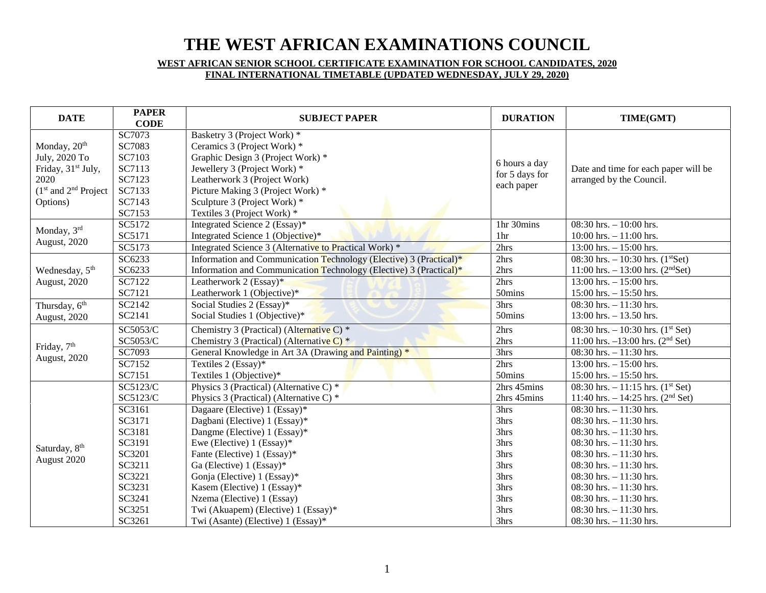# **THE WEST AFRICAN EXAMINATIONS COUNCIL**

# **WEST AFRICAN SENIOR SCHOOL CERTIFICATE EXAMINATION FOR SCHOOL CANDIDATES, 2020 FINAL INTERNATIONAL TIMETABLE (UPDATED WEDNESDAY, JULY 29, 2020)**

| <b>DATE</b>                    | <b>PAPER</b><br><b>CODE</b> | <b>SUBJECT PAPER</b>                                               | <b>DURATION</b>              | TIME(GMT)                                       |
|--------------------------------|-----------------------------|--------------------------------------------------------------------|------------------------------|-------------------------------------------------|
|                                | SC7073                      | Basketry 3 (Project Work) *                                        |                              |                                                 |
| Monday, 20 <sup>th</sup>       | SC7083                      | Ceramics 3 (Project Work) *                                        |                              | Date and time for each paper will be            |
| July, 2020 To                  | SC7103                      | Graphic Design 3 (Project Work) *                                  | 6 hours a day                |                                                 |
| Friday, 31 <sup>st</sup> July, | SC7113                      | Jewellery 3 (Project Work) *                                       |                              |                                                 |
| 2020                           | SC7123                      | Leatherwork 3 (Project Work)                                       | for 5 days for<br>each paper | arranged by the Council.                        |
| $(1st$ and $2nd$ Project       | SC7133                      | Picture Making 3 (Project Work) *                                  |                              |                                                 |
| Options)                       | SC7143                      | Sculpture 3 (Project Work) *                                       |                              |                                                 |
|                                | SC7153                      | Textiles 3 (Project Work) *                                        |                              |                                                 |
| Monday, 3rd                    | SC5172                      | Integrated Science 2 (Essay)*                                      | 1hr 30mins                   | $08:30$ hrs. $-10:00$ hrs.                      |
|                                | SC5171                      | Integrated Science 1 (Objective)*                                  | 1 <sub>hr</sub>              | 10:00 hrs. $- 11:00$ hrs.                       |
| <b>August</b> , 2020           | SC5173                      | Integrated Science 3 (Alternative to Practical Work) *             | 2hrs                         | $13:00$ hrs. $-15:00$ hrs.                      |
|                                | SC6233                      | Information and Communication Technology (Elective) 3 (Practical)* | 2hrs                         | 08:30 hrs. $-10:30$ hrs. (1st Set)              |
| Wednesday, 5 <sup>th</sup>     | SC6233                      | Information and Communication Technology (Elective) 3 (Practical)* | 2hrs                         | 11:00 hrs. $- 13:00$ hrs. (2 <sup>nd</sup> Set) |
| <b>August</b> , 2020           | SC7122                      | Leatherwork 2 (Essay)*                                             | 2hrs                         | $13:00$ hrs. $-15:00$ hrs.                      |
|                                | SC7121                      | Leatherwork 1 (Objective)*                                         | 50mins                       | $15:00$ hrs. $- 15:50$ hrs.                     |
| Thursday, 6 <sup>th</sup>      | SC2142                      | Social Studies 2 (Essay)*                                          | 3hrs                         | 08:30 hrs. $-11:30$ hrs.                        |
| August, 2020                   | SC2141                      | Social Studies 1 (Objective)*                                      | 50mins                       | $13:00$ hrs. $-13.50$ hrs.                      |
|                                | SC5053/C                    | Chemistry 3 (Practical) (Alternative C) *                          | 2hrs                         | 08:30 hrs. $-10:30$ hrs. $(1^{st}$ Set)         |
| Friday, 7 <sup>th</sup>        | SC5053/C                    | Chemistry 3 (Practical) (Alternative C) $*$                        | 2hrs                         | 11:00 hrs. $-13:00$ hrs. (2 <sup>nd</sup> Set)  |
| August, 2020                   | SC7093                      | General Knowledge in Art 3A (Drawing and Painting) *               | 3hrs                         | 08:30 hrs. $-11:30$ hrs.                        |
|                                | SC7152                      | Textiles 2 (Essay)*                                                | 2hrs                         | 13:00 hrs. $- 15:00$ hrs.                       |
|                                | SC7151                      | Textiles 1 (Objective)*                                            | 50mins                       | $15:00$ hrs. $- 15:50$ hrs.                     |
|                                | SC5123/C                    | Physics 3 (Practical) (Alternative C) *                            | 2hrs 45mins                  | 08:30 hrs. $-11:15$ hrs. (1 <sup>st</sup> Set)  |
|                                | SC5123/C                    | Physics 3 (Practical) (Alternative C) *                            | 2hrs 45mins                  | 11:40 hrs. $- 14:25$ hrs. (2 <sup>nd</sup> Set) |
|                                | SC3161                      | Dagaare (Elective) 1 (Essay)*                                      | 3hrs                         | 08:30 hrs. $-11:30$ hrs.                        |
|                                | SC3171                      | Dagbani (Elective) 1 (Essay)*                                      | 3hrs                         | 08:30 hrs. $-11:30$ hrs.                        |
|                                | SC3181                      | Dangme (Elective) 1 (Essay)*                                       | 3hrs                         | 08:30 hrs. $-11:30$ hrs.                        |
| Saturday, 8 <sup>th</sup>      | SC3191                      | Ewe (Elective) $1$ (Essay)*                                        | 3hrs                         | 08:30 hrs. $-11:30$ hrs.                        |
| August 2020                    | SC3201                      | Fante (Elective) 1 (Essay)*                                        | 3hrs                         | 08:30 hrs. $-11:30$ hrs.                        |
|                                | SC3211                      | Ga (Elective) $1$ (Essay)*                                         | 3hrs                         | $08:30$ hrs. $-11:30$ hrs.                      |
|                                | SC3221                      | Gonja (Elective) 1 (Essay)*                                        | 3hrs                         | 08:30 hrs. $-11:30$ hrs.                        |
|                                | SC3231                      | Kasem (Elective) 1 (Essay)*                                        | 3hrs                         | 08:30 hrs. $-11:30$ hrs.                        |
|                                | SC3241                      | Nzema (Elective) 1 (Essay)                                         | 3hrs                         | 08:30 hrs. $-11:30$ hrs.                        |
|                                | SC3251                      | Twi (Akuapem) (Elective) 1 (Essay)*                                | 3hrs                         | 08:30 hrs. $-11:30$ hrs.                        |
|                                | SC3261                      | Twi (Asante) (Elective) 1 (Essay)*                                 | 3hrs                         | 08:30 hrs. $-11:30$ hrs.                        |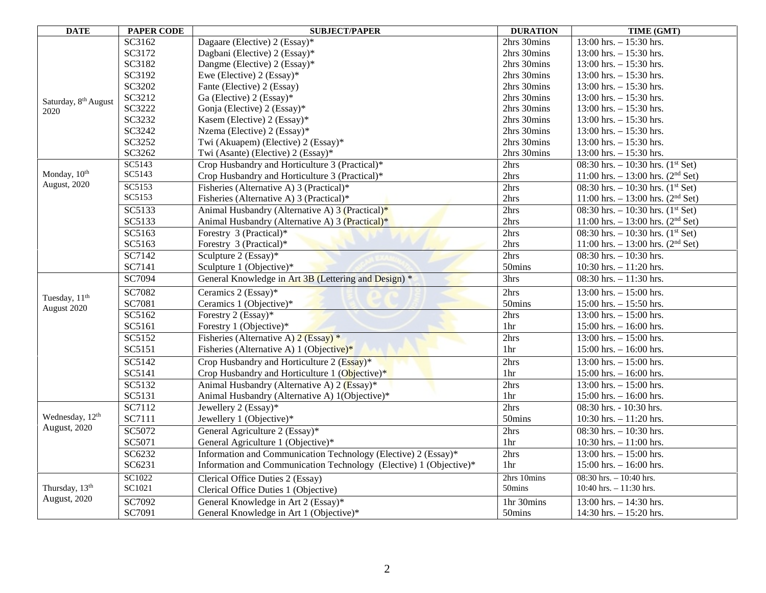| <b>DATE</b>                      | <b>PAPER CODE</b> | <b>SUBJECT/PAPER</b>                                               | <b>DURATION</b> | TIME (GMT)                                      |
|----------------------------------|-------------------|--------------------------------------------------------------------|-----------------|-------------------------------------------------|
|                                  | SC3162            | Dagaare (Elective) 2 (Essay)*                                      | 2hrs 30mins     | 13:00 hrs. $- 15:30$ hrs.                       |
|                                  | SC3172            | Dagbani (Elective) 2 (Essay)*                                      | 2hrs 30mins     | $13:00$ hrs. $-15:30$ hrs.                      |
|                                  | SC3182            | Dangme (Elective) 2 (Essay)*                                       | 2hrs 30mins     | $13:00$ hrs. $-15:30$ hrs.                      |
|                                  | SC3192            | Ewe (Elective) $2$ (Essay)*                                        | 2hrs 30mins     | 13:00 hrs. $- 15:30$ hrs.                       |
|                                  | SC3202            | Fante (Elective) 2 (Essay)                                         | 2hrs 30mins     | $13:00$ hrs. $-15:30$ hrs.                      |
| Saturday, 8 <sup>th</sup> August | SC3212            | Ga (Elective) 2 (Essay)*                                           | 2hrs 30mins     | $13:00$ hrs. $-15:30$ hrs.                      |
| 2020                             | SC3222            | Gonja (Elective) 2 (Essay)*                                        | 2hrs 30mins     | 13:00 hrs. $- 15:30$ hrs.                       |
|                                  | SC3232            | Kasem (Elective) 2 (Essay)*                                        | 2hrs 30mins     | 13:00 hrs. $- 15:30$ hrs.                       |
|                                  | SC3242            | Nzema (Elective) 2 (Essay)*                                        | 2hrs 30mins     | 13:00 hrs. $- 15:30$ hrs.                       |
|                                  | SC3252            | Twi (Akuapem) (Elective) 2 (Essay)*                                | 2hrs 30mins     | $13:00$ hrs. $-15:30$ hrs.                      |
|                                  | SC3262            | Twi (Asante) (Elective) 2 (Essay)*                                 | 2hrs 30mins     | 13:00 hrs. $- 15:30$ hrs.                       |
|                                  | SC5143            | Crop Husbandry and Horticulture 3 (Practical)*                     | 2hrs            | 08:30 hrs. $-10:30$ hrs. $(1st Set)$            |
| Monday, 10th                     | SC5143            | Crop Husbandry and Horticulture 3 (Practical)*                     | 2hrs            | 11:00 hrs. $- 13:00$ hrs. (2 <sup>nd</sup> Set) |
| August, 2020                     | SC5153            | Fisheries (Alternative A) 3 (Practical)*                           | 2hrs            | 08:30 hrs. $-10:30$ hrs. $(1st Set)$            |
|                                  | SC5153            | Fisheries (Alternative A) 3 (Practical)*                           | 2hrs            | 11:00 hrs. $- 13:00$ hrs. (2 <sup>nd</sup> Set) |
|                                  | SC5133            | Animal Husbandry (Alternative A) $3$ (Practical) <sup>*</sup>      | 2hrs            | 08:30 hrs. $-10:30$ hrs. $(1st Set)$            |
|                                  | SC5133            | Animal Husbandry (Alternative A) 3 (Practical)*                    | 2hrs            | 11:00 hrs. $- 13:00$ hrs. (2 <sup>nd</sup> Set) |
|                                  | SC5163            | Forestry 3 (Practical)*                                            | 2hrs            | 08:30 hrs. $-10:30$ hrs. $(1st Set)$            |
|                                  | SC5163            | Forestry 3 (Practical)*                                            | 2hrs            | 11:00 hrs. $- 13:00$ hrs. (2 <sup>nd</sup> Set) |
|                                  | SC7142            | Sculpture 2 (Essay)*                                               | 2hrs            | 08:30 hrs. $-10:30$ hrs.                        |
|                                  | SC7141            | Sculpture 1 (Objective)*                                           | 50mins          | 10:30 hrs. $-11:20$ hrs.                        |
|                                  | SC7094            | General Knowledge in Art 3B (Lettering and Design) *               | 3hrs            | 08:30 hrs. $-11:30$ hrs.                        |
| Tuesday, 11 <sup>th</sup>        | SC7082            | Ceramics 2 (Essay)*                                                | 2hrs            | 13:00 hrs. $- 15:00$ hrs.                       |
| August 2020                      | SC7081            | Ceramics 1 (Objective)*                                            | 50mins          | $15:00$ hrs. $-15:50$ hrs.                      |
|                                  | SC5162            | Forestry 2 (Essay)*                                                | 2hrs            | 13:00 hrs. $- 15:00$ hrs.                       |
|                                  | SC5161            | Forestry 1 (Objective)*                                            | 1hr             | 15:00 hrs. $- 16:00$ hrs.                       |
|                                  | SC5152            | Fisheries (Alternative A) $2$ (Essay) *                            | 2hrs            | $13:00$ hrs. $-15:00$ hrs.                      |
|                                  | SC5151            | Fisheries (Alternative A) 1 (Objective)*                           | 1 <sub>hr</sub> | 15:00 hrs. $- 16:00$ hrs.                       |
|                                  | SC5142            | Crop Husbandry and Horticulture 2 $(E$ ssay)*                      | 2hrs            | 13:00 hrs. $- 15:00$ hrs.                       |
|                                  | SC5141            | Crop Husbandry and Horticulture 1 (Objective) <sup>*</sup>         | 1 <sup>hr</sup> | 15:00 hrs. $- 16:00$ hrs.                       |
|                                  | SC5132            | Animal Husbandry (Alternative A) 2 (Essay)*                        | 2hrs            | 13:00 hrs. $- 15:00$ hrs.                       |
|                                  | SC5131            | Animal Husbandry (Alternative A) 1(Objective)*                     | 1hr             | $15:00$ hrs. $- 16:00$ hrs.                     |
|                                  | SC7112            | Jewellery 2 (Essay)*                                               | 2hrs            | 08:30 hrs. - 10:30 hrs.                         |
| Wednesday, 12 <sup>th</sup>      | SC7111            | Jewellery 1 (Objective)*                                           | 50mins          | 10:30 hrs. $-11:20$ hrs.                        |
| August, 2020                     | SC5072            | General Agriculture 2 (Essay)*                                     | 2hrs            | 08:30 hrs. $-10:30$ hrs.                        |
|                                  | SC5071            | General Agriculture 1 (Objective)*                                 | 1hr             | 10:30 hrs. $-11:00$ hrs.                        |
|                                  | SC6232            | Information and Communication Technology (Elective) 2 (Essay)*     | 2hrs            | 13:00 hrs. $- 15:00$ hrs.                       |
|                                  | SC6231            | Information and Communication Technology (Elective) 1 (Objective)* | 1 <sub>hr</sub> | $15:00$ hrs. $-16:00$ hrs.                      |
|                                  | SC1022            | Clerical Office Duties 2 (Essay)                                   | 2hrs 10mins     | 08:30 hrs. $-10:40$ hrs.                        |
| Thursday, 13 <sup>th</sup>       | SC1021            | Clerical Office Duties 1 (Objective)                               | 50mins          | 10:40 hrs. $- 11:30$ hrs.                       |
| August, 2020                     | SC7092            | General Knowledge in Art 2 (Essay)*                                | 1hr 30mins      | 13:00 hrs. $- 14:30$ hrs.                       |
|                                  | SC7091            | General Knowledge in Art 1 (Objective)*                            | 50mins          | 14:30 hrs. $- 15:20$ hrs.                       |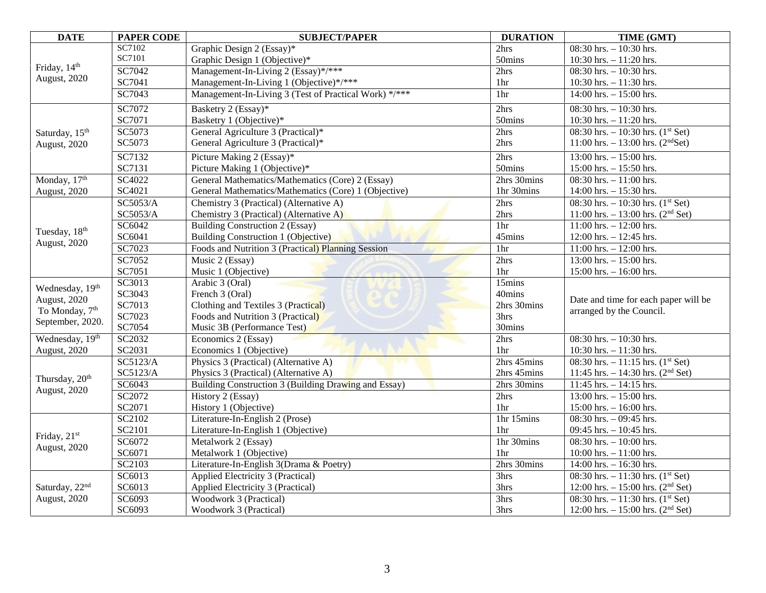| <b>DATE</b>                              | <b>PAPER CODE</b> | <b>SUBJECT/PAPER</b>                                  | <b>DURATION</b> | TIME (GMT)                                      |
|------------------------------------------|-------------------|-------------------------------------------------------|-----------------|-------------------------------------------------|
| Friday, 14 <sup>th</sup><br>August, 2020 | SC7102            | Graphic Design 2 (Essay)*                             | 2hrs            | 08:30 hrs. $-10:30$ hrs.                        |
|                                          | SC7101            | Graphic Design 1 (Objective)*                         | 50mins          | 10:30 hrs. $-11:20$ hrs.                        |
|                                          | SC7042            | Management-In-Living 2 (Essay)*/***                   | 2hrs            | $08:30$ hrs. $-10:30$ hrs.                      |
|                                          | SC7041            | Management-In-Living 1 (Objective)*/***               | 1hr             | 10:30 hrs. $- 11:30$ hrs.                       |
|                                          | SC7043            | Management-In-Living 3 (Test of Practical Work) */*** | 1 <sub>hr</sub> | $14:00$ hrs. $-15:00$ hrs.                      |
|                                          | SC7072            | Basketry 2 (Essay)*                                   | 2hrs            | $08:30$ hrs. $-10:30$ hrs.                      |
|                                          | SC7071            | Basketry 1 (Objective)*                               | 50mins          | 10:30 hrs. $-11:20$ hrs.                        |
| Saturday, 15 <sup>th</sup>               | SC5073            | General Agriculture 3 (Practical)*                    | 2hrs            | 08:30 hrs. $-10:30$ hrs. $(1st Set)$            |
| August, 2020                             | SC5073            | General Agriculture 3 (Practical)*                    | 2hrs            | 11:00 hrs. $- 13:00$ hrs. (2 <sup>nd</sup> Set) |
|                                          | SC7132            | Picture Making 2 (Essay)*                             | 2hrs            | 13:00 hrs. $- 15:00$ hrs.                       |
|                                          | SC7131            | Picture Making 1 (Objective)*                         | 50mins          | $15:00$ hrs. $- 15:50$ hrs.                     |
| Monday, 17th                             | SC4022            | General Mathematics/Mathematics (Core) 2 (Essay)      | 2hrs 30mins     | 08:30 hrs. $-11:00$ hrs.                        |
| August, 2020                             | SC4021            | General Mathematics/Mathematics (Core) 1 (Objective)  | 1hr 30mins      | 14:00 hrs. $- 15:30$ hrs.                       |
|                                          | SC5053/A          | Chemistry 3 (Practical) (Alternative A)               | 2hrs            | 08:30 hrs. $-10:30$ hrs. $(1st Set)$            |
|                                          | SC5053/A          | Chemistry 3 (Practical) (Alternative A)               | 2hrs            | 11:00 hrs. $- 13:00$ hrs. (2 <sup>nd</sup> Set) |
| Tuesday, 18 <sup>th</sup>                | SC6042            | Building Construction 2 (Essay)                       | 1hr             | $11:00$ hrs. $- 12:00$ hrs.                     |
| August, 2020                             | SC6041            | Building Construction 1 (Objective)                   | 45mins          | 12:00 hrs. $- 12:45$ hrs.                       |
|                                          | SC7023            | Foods and Nutrition 3 (Practical) Planning Session    | 1hr             | $11:00$ hrs. $- 12:00$ hrs.                     |
|                                          | SC7052            | Music 2 (Essay)                                       | 2hrs            | 13:00 hrs. $-15:00$ hrs.                        |
|                                          | SC7051            | Music 1 (Objective)                                   | 1hr             | 15:00 hrs. $- 16:00$ hrs.                       |
| Wednesday, 19 <sup>th</sup>              | SC3013            | Arabic 3 (Oral)                                       | 15mins          |                                                 |
| August, 2020                             | SC3043            | French 3 (Oral)                                       | 40mins          | Date and time for each paper will be            |
| To Monday, 7 <sup>th</sup>               | SC7013            | Clothing and Textiles 3 (Practical)                   | 2hrs 30mins     | arranged by the Council.                        |
| September, 2020.                         | SC7023            | Foods and Nutrition 3 (Practical)                     | 3hrs            |                                                 |
|                                          | SC7054            | Music 3B (Performance Test)                           | 30mins          |                                                 |
| Wednesday, 19th                          | SC2032            | Economics 2 (Essay)                                   | 2hrs            | 08:30 hrs. $-10:30$ hrs.                        |
| August, 2020                             | SC2031            | Economics 1 (Objective)                               | 1 <sub>hr</sub> | 10:30 hrs. $-11:30$ hrs.                        |
|                                          | SC5123/A          | Physics 3 (Practical) (Alternative A)                 | 2hrs 45mins     | 08:30 hrs. $-11:15$ hrs. (1 <sup>st</sup> Set)  |
| Thursday, 20 <sup>th</sup>               | SC5123/A          | Physics 3 (Practical) (Alternative A)                 | 2hrs 45mins     | 11:45 hrs. $- 14:30$ hrs. (2 <sup>nd</sup> Set) |
| August, 2020                             | SC6043            | Building Construction 3 (Building Drawing and Essay)  | 2hrs 30mins     | $11:45$ hrs. $-14:15$ hrs.                      |
|                                          | SC2072            | History 2 (Essay)                                     | 2hrs            | 13:00 hrs. $- 15:00$ hrs.                       |
|                                          | SC2071            | History 1 (Objective)                                 | 1hr             | 15:00 hrs. $- 16:00$ hrs.                       |
|                                          | SC2102            | Literature-In-English 2 (Prose)                       | 1hr 15mins      | $08:30$ hrs. $-09:45$ hrs.                      |
| Friday, 21st                             | SC2101            | Literature-In-English 1 (Objective)                   | 1 <sub>hr</sub> | 09:45 hrs. $-10:45$ hrs.                        |
| August, 2020                             | SC6072            | Metalwork 2 (Essay)                                   | 1hr 30mins      | 08:30 hrs. $-10:00$ hrs.                        |
|                                          | SC6071            | Metalwork 1 (Objective)                               | 1hr             | 10:00 hrs. $- 11:00$ hrs.                       |
|                                          | SC2103            | Literature-In-English 3(Drama & Poetry)               | 2hrs 30mins     | 14:00 hrs. $- 16:30$ hrs.                       |
|                                          | SC6013            | Applied Electricity 3 (Practical)                     | 3hrs            | 08:30 hrs. $-11:30$ hrs. (1 <sup>st</sup> Set)  |
| Saturday, 22nd<br>August, 2020           | SC6013            | Applied Electricity 3 (Practical)                     | 3hrs            | 12:00 hrs. $- 15:00$ hrs. (2 <sup>nd</sup> Set) |
|                                          | SC6093            | Woodwork 3 (Practical)                                | 3hrs            | 08:30 hrs. $-11:30$ hrs. $(1st Set)$            |
|                                          | SC6093            | Woodwork 3 (Practical)                                | 3hrs            | 12:00 hrs. $- 15:00$ hrs. (2 <sup>nd</sup> Set) |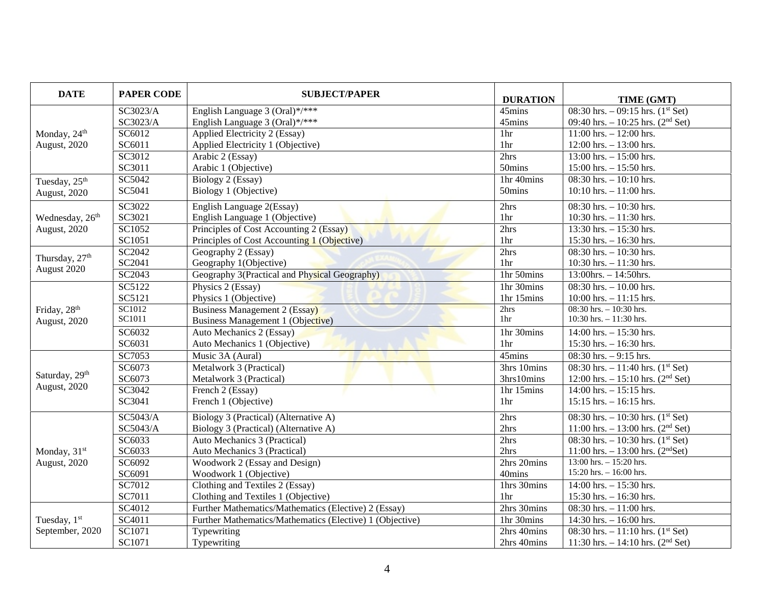| <b>DATE</b>                                      | <b>PAPER CODE</b> | <b>SUBJECT/PAPER</b>                                     | <b>DURATION</b> | TIME (GMT)                                      |
|--------------------------------------------------|-------------------|----------------------------------------------------------|-----------------|-------------------------------------------------|
| Monday, 24 <sup>th</sup><br><b>August</b> , 2020 | SC3023/A          | English Language 3 (Oral) $\sqrt[3]{***}$                | 45mins          | 08:30 hrs. $-$ 09:15 hrs. (1 <sup>st</sup> Set) |
|                                                  | SC3023/A          | English Language 3 (Oral)*/***                           | 45mins          | 09:40 hrs. $-10:25$ hrs. (2 <sup>nd</sup> Set)  |
|                                                  | SC6012            | Applied Electricity 2 (Essay)                            | 1hr             | $11:00$ hrs. $- 12:00$ hrs.                     |
|                                                  | SC6011            | Applied Electricity 1 (Objective)                        | 1hr             | 12:00 hrs. $- 13:00$ hrs.                       |
|                                                  | SC3012            | Arabic 2 (Essay)                                         | 2hrs            | 13:00 hrs. $- 15:00$ hrs.                       |
|                                                  | SC3011            | Arabic 1 (Objective)                                     | 50mins          | 15:00 hrs. $- 15:50$ hrs.                       |
| Tuesday, 25 <sup>th</sup>                        | SC5042            | Biology 2 (Essay)                                        | 1hr 40mins      | 08:30 hrs. $-10:10$ hrs.                        |
| August, 2020                                     | SC5041            | Biology 1 (Objective)                                    | 50mins          | $10:10$ hrs. $-11:00$ hrs.                      |
|                                                  | SC3022            | English Language 2(Essay)                                | 2hrs            | 08:30 hrs. $-10:30$ hrs.                        |
| Wednesday, 26 <sup>th</sup>                      | SC3021            | English Language 1 (Objective)                           | 1hr             | 10:30 hrs. $- 11:30$ hrs.                       |
| <b>August</b> , 2020                             | SC1052            | Principles of Cost Accounting 2 (Essay)                  | 2hrs            | 13:30 hrs. $- 15:30$ hrs.                       |
|                                                  | SC1051            | Principles of Cost Accounting 1 (Objective)              | 1 <sub>hr</sub> | 15:30 hrs. $- 16:30$ hrs.                       |
| Thursday, 27 <sup>th</sup>                       | SC2042            | Geography 2 (Essay)                                      | 2hrs            | $08:30$ hrs. $-10:30$ hrs.                      |
| August 2020                                      | SC2041            | Geography 1(Objective)                                   | 1 <sub>hr</sub> | 10:30 hrs. $- 11:30$ hrs.                       |
|                                                  | SC2043            | Geography 3(Practical and Physical Geography)            | 1hr 50mins      | $13:00$ hrs. - $14:50$ hrs.                     |
|                                                  | SC5122            | Physics 2 (Essay)                                        | 1hr 30mins      | 08:30 hrs. $-10.00$ hrs.                        |
|                                                  | SC5121            | Physics 1 (Objective)                                    | 1hr 15mins      | 10:00 hrs. $-11:15$ hrs.                        |
| Friday, 28 <sup>th</sup>                         | SC1012            | <b>Business Management 2 (Essay)</b>                     | 2hrs            | $08:30$ hrs. $-10:30$ hrs.                      |
| August, 2020                                     | SC1011            | Business Management 1 (Objective)                        | 1hr             | 10:30 hrs. $- 11:30$ hrs.                       |
|                                                  | SC6032            | Auto Mechanics 2 (Essay)                                 | 1hr 30mins      | $14:00$ hrs. $- 15:30$ hrs.                     |
|                                                  | SC6031            | Auto Mechanics 1 (Objective)                             | 1hr             | 15:30 hrs. $- 16:30$ hrs.                       |
|                                                  | SC7053            | Music 3A (Aural)                                         | 45mins          | 08:30 hrs. $-9:15$ hrs.                         |
|                                                  | SC6073            | Metalwork 3 (Practical)                                  | 3hrs 10mins     | 08:30 hrs. $-11:40$ hrs. $(1st Set)$            |
| Saturday, 29th                                   | SC6073            | Metalwork 3 (Practical)                                  | 3hrs10mins      | 12:00 hrs. $- 15:10$ hrs. (2 <sup>nd</sup> Set) |
| August, 2020                                     | SC3042            | French 2 (Essay)                                         | 1hr 15mins      | $14:00$ hrs. $-15:15$ hrs.                      |
|                                                  | SC3041            | French 1 (Objective)                                     | 1 <sub>hr</sub> | $15:15$ hrs. $-16:15$ hrs.                      |
|                                                  | SC5043/A          | Biology 3 (Practical) (Alternative A)                    | 2hrs            | 08:30 hrs. $-10:30$ hrs. $(1st Set)$            |
|                                                  | SC5043/A          | Biology 3 (Practical) (Alternative A)                    | 2hrs            | 11:00 hrs. $- 13:00$ hrs. (2 <sup>nd</sup> Set) |
|                                                  | SC6033            | Auto Mechanics 3 (Practical)                             | 2hrs            | 08:30 hrs. $-10:30$ hrs. $(1st Set)$            |
| Monday, 31 <sup>st</sup>                         | SC6033            | Auto Mechanics 3 (Practical)                             | 2hrs            | 11:00 hrs. $- 13:00$ hrs. (2 <sup>nd</sup> Set) |
| August, 2020                                     | SC6092            | Woodwork 2 (Essay and Design)                            | 2hrs 20mins     | $13:00$ hrs. $-15:20$ hrs.                      |
|                                                  | SC6091            | Woodwork 1 (Objective)                                   | 40mins          | 15:20 hrs. $- 16:00$ hrs.                       |
|                                                  | SC7012            | Clothing and Textiles 2 (Essay)                          | 1hrs 30mins     | $14:00$ hrs. $-15:30$ hrs.                      |
|                                                  | SC7011            | Clothing and Textiles 1 (Objective)                      | 1 <sub>hr</sub> | 15:30 hrs. $- 16:30$ hrs.                       |
|                                                  | SC4012            | Further Mathematics/Mathematics (Elective) 2 (Essay)     | 2hrs 30mins     | 08:30 hrs. $-11:00$ hrs.                        |
| Tuesday, 1st<br>September, 2020                  | SC4011            | Further Mathematics/Mathematics (Elective) 1 (Objective) | 1hr 30mins      | 14:30 hrs. $- 16:00$ hrs.                       |
|                                                  | SC1071            | Typewriting                                              | 2hrs 40mins     | 08:30 hrs. $-11:10$ hrs. (1 <sup>st</sup> Set)  |
|                                                  | SC1071            | Typewriting                                              | 2hrs 40mins     | 11:30 hrs. $- 14:10$ hrs. (2 <sup>nd</sup> Set) |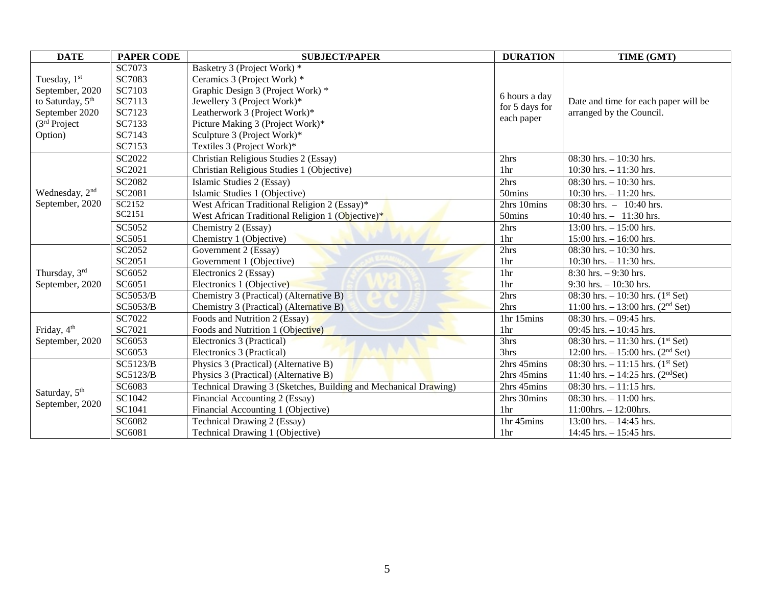| <b>DATE</b>                                                                                                              | <b>PAPER CODE</b> | <b>SUBJECT/PAPER</b>                                            | <b>DURATION</b>                               | TIME (GMT)                                                       |
|--------------------------------------------------------------------------------------------------------------------------|-------------------|-----------------------------------------------------------------|-----------------------------------------------|------------------------------------------------------------------|
| Tuesday, 1st<br>September, 2020<br>to Saturday, 5 <sup>th</sup><br>September 2020<br>(3 <sup>rd</sup> Project<br>Option) | SC7073            | Basketry 3 (Project Work) *                                     | 6 hours a day<br>for 5 days for<br>each paper | Date and time for each paper will be<br>arranged by the Council. |
|                                                                                                                          | SC7083            | Ceramics 3 (Project Work) *                                     |                                               |                                                                  |
|                                                                                                                          | SC7103            | Graphic Design 3 (Project Work) *                               |                                               |                                                                  |
|                                                                                                                          | SC7113            | Jewellery 3 (Project Work)*                                     |                                               |                                                                  |
|                                                                                                                          | SC7123            | Leatherwork 3 (Project Work)*                                   |                                               |                                                                  |
|                                                                                                                          | SC7133            | Picture Making 3 (Project Work)*                                |                                               |                                                                  |
|                                                                                                                          | SC7143            | Sculpture 3 (Project Work)*                                     |                                               |                                                                  |
|                                                                                                                          | SC7153            | Textiles 3 (Project Work)*                                      |                                               |                                                                  |
|                                                                                                                          | SC2022            | Christian Religious Studies 2 (Essay)                           | 2hrs                                          | $08:30$ hrs. $-10:30$ hrs.                                       |
|                                                                                                                          | SC2021            | Christian Religious Studies 1 (Objective)                       | 1 <sub>hr</sub>                               | 10:30 hrs. $-11:30$ hrs.                                         |
|                                                                                                                          | SC2082            | Islamic Studies 2 (Essay)                                       | 2hrs                                          | 08:30 hrs. $-10:30$ hrs.                                         |
| Wednesday, 2 <sup>nd</sup>                                                                                               | SC2081            | Islamic Studies 1 (Objective)                                   | 50mins                                        | 10:30 hrs. $-11:20$ hrs.                                         |
| September, 2020                                                                                                          | SC2152            | West African Traditional Religion 2 (Essay)*                    | 2hrs 10mins                                   | 08:30 hrs. $-10:40$ hrs.                                         |
|                                                                                                                          | SC2151            | West African Traditional Religion 1 (Objective)*                | 50mins                                        | 10:40 hrs. $-11:30$ hrs.                                         |
|                                                                                                                          | SC5052            | Chemistry 2 (Essay)                                             | 2hrs                                          | $13:00$ hrs. $-15:00$ hrs.                                       |
|                                                                                                                          | SC5051            | Chemistry 1 (Objective)                                         | 1 <sub>hr</sub>                               | $15:00$ hrs. $- 16:00$ hrs.                                      |
|                                                                                                                          | SC2052            | Government 2 (Essay)                                            | 2hrs                                          | $08:30$ hrs. $-10:30$ hrs.                                       |
|                                                                                                                          | SC2051            | Government 1 (Objective)                                        | 1 <sub>hr</sub>                               | $10:30$ hrs. $-11:30$ hrs.                                       |
| Thursday, 3rd                                                                                                            | SC6052            | Electronics 2 (Essay)                                           | 1hr                                           | $8:30$ hrs. $-9:30$ hrs.                                         |
| September, 2020                                                                                                          | SC6051            | Electronics 1 (Objective)                                       | 1hr                                           | $9:30$ hrs. $-10:30$ hrs.                                        |
|                                                                                                                          | SC5053/B          | Chemistry 3 (Practical) (Alternative B)                         | 2hrs                                          | 08:30 hrs. $-10:30$ hrs. $(1st Set)$                             |
|                                                                                                                          | <b>SC5053/B</b>   | Chemistry 3 (Practical) (Alternative B)                         | 2hrs                                          | 11:00 hrs. $- 13:00$ hrs. (2 <sup>nd</sup> Set)                  |
|                                                                                                                          | SC7022            | Foods and Nutrition 2 (Essay)                                   | 1hr 15mins                                    | 08:30 hrs. $-$ 09:45 hrs.                                        |
| Friday, 4 <sup>th</sup><br>September, 2020                                                                               | SC7021            | Foods and Nutrition 1 (Objective)                               | 1hr                                           | 09:45 hrs. $-10:45$ hrs.                                         |
|                                                                                                                          | SC6053            | Electronics 3 (Practical)                                       | 3hrs                                          | 08:30 hrs. $-11:30$ hrs. (1 <sup>st</sup> Set)                   |
|                                                                                                                          | SC6053            | Electronics 3 (Practical)                                       | 3hrs                                          | 12:00 hrs. $- 15:00$ hrs. (2 <sup>nd</sup> Set)                  |
| Saturday, 5 <sup>th</sup><br>September, 2020                                                                             | SC5123/B          | Physics 3 (Practical) (Alternative B)                           | 2hrs 45mins                                   | 08:30 hrs. $-11:15$ hrs. (1 <sup>st</sup> Set)                   |
|                                                                                                                          | SC5123/B          | Physics 3 (Practical) (Alternative B)                           | 2hrs 45mins                                   | 11:40 hrs. $- 14:25$ hrs. (2 <sup>nd</sup> Set)                  |
|                                                                                                                          | SC6083            | Technical Drawing 3 (Sketches, Building and Mechanical Drawing) | 2hrs 45mins                                   | $08:30$ hrs. $-11:15$ hrs.                                       |
|                                                                                                                          | SC1042            | Financial Accounting 2 (Essay)                                  | 2hrs 30mins                                   | $08:30$ hrs. $-11:00$ hrs.                                       |
|                                                                                                                          | SC1041            | Financial Accounting 1 (Objective)                              | 1hr                                           | $11:00$ hrs. $- 12:00$ hrs.                                      |
|                                                                                                                          | SC6082            | Technical Drawing 2 (Essay)                                     | 1hr 45mins                                    | 13:00 hrs. $- 14:45$ hrs.                                        |
|                                                                                                                          | SC6081            | Technical Drawing 1 (Objective)                                 | 1hr                                           | 14:45 hrs. $- 15:45$ hrs.                                        |